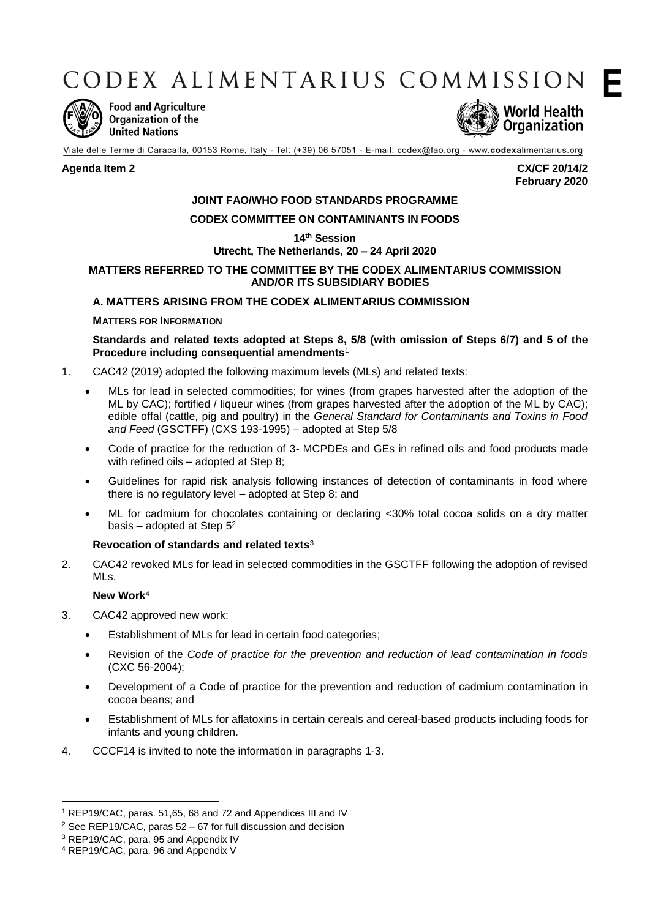CODEX ALIMENTARIUS COMMISSION



**Food and Agriculture Organization of the United Nations** 



Viale delle Terme di Caracalla, 00153 Rome, Italy - Tel: (+39) 06 57051 - E-mail: codex@fao.org - www.codexalimentarius.org

**Agenda Item 2 CX/CF 20/14/2 February 2020** **E**

# **JOINT FAO/WHO FOOD STANDARDS PROGRAMME**

# **CODEX COMMITTEE ON CONTAMINANTS IN FOODS**

**14th Session**

# **Utrecht, The Netherlands, 20 – 24 April 2020**

# **MATTERS REFERRED TO THE COMMITTEE BY THE CODEX ALIMENTARIUS COMMISSION AND/OR ITS SUBSIDIARY BODIES**

# **A. MATTERS ARISING FROM THE CODEX ALIMENTARIUS COMMISSION**

# **MATTERS FOR INFORMATION**

**Standards and related texts adopted at Steps 8, 5/8 (with omission of Steps 6/7) and 5 of the Procedure including consequential amendments**<sup>1</sup>

- 1. CAC42 (2019) adopted the following maximum levels (MLs) and related texts:
	- MLs for lead in selected commodities; for wines (from grapes harvested after the adoption of the ML by CAC); fortified / liqueur wines (from grapes harvested after the adoption of the ML by CAC); edible offal (cattle, pig and poultry) in the *General Standard for Contaminants and Toxins in Food and Feed* (GSCTFF) (CXS 193-1995) – adopted at Step 5/8
	- Code of practice for the reduction of 3- MCPDEs and GEs in refined oils and food products made with refined oils – adopted at Step 8;
	- Guidelines for rapid risk analysis following instances of detection of contaminants in food where there is no regulatory level – adopted at Step 8; and
	- ML for cadmium for chocolates containing or declaring <30% total cocoa solids on a dry matter basis – adopted at Step  $5<sup>2</sup>$

### **Revocation of standards and related texts**<sup>3</sup>

2. CAC42 revoked MLs for lead in selected commodities in the GSCTFF following the adoption of revised MLs.

### **New Work**<sup>4</sup>

- 3. CAC42 approved new work:
	- Establishment of MLs for lead in certain food categories;
	- Revision of the *Code of practice for the prevention and reduction of lead contamination in foods*  (CXC 56-2004);
	- Development of a Code of practice for the prevention and reduction of cadmium contamination in cocoa beans; and
	- Establishment of MLs for aflatoxins in certain cereals and cereal-based products including foods for infants and young children.
- 4. CCCF14 is invited to note the information in paragraphs 1-3.

1

<sup>1</sup> REP19/CAC, paras. 51,65, 68 and 72 and Appendices III and IV

<sup>&</sup>lt;sup>2</sup> See REP19/CAC, paras  $52 - 67$  for full discussion and decision

<sup>3</sup> REP19/CAC, para. 95 and Appendix IV

<sup>4</sup> REP19/CAC, para. 96 and Appendix V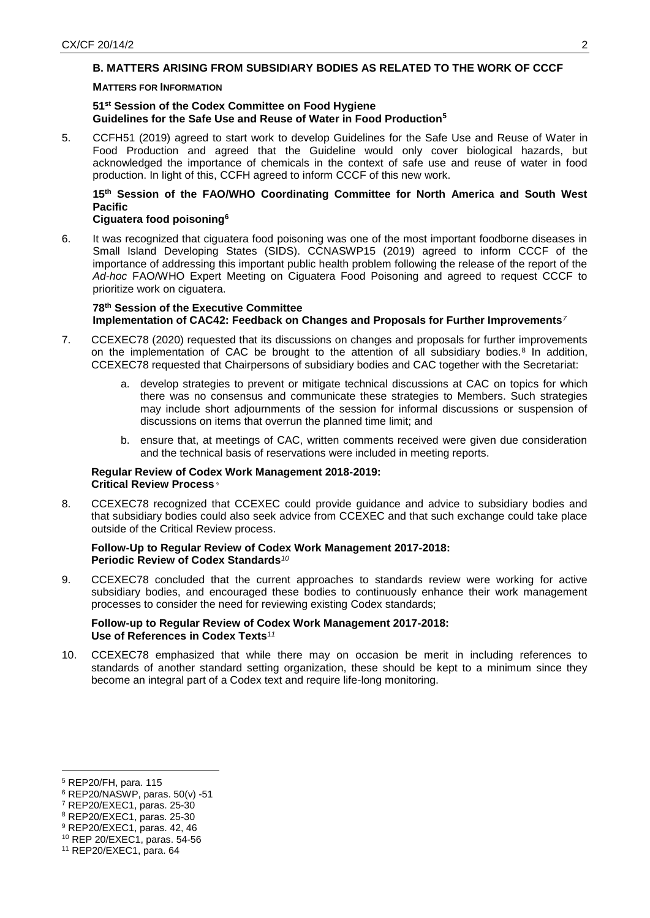# **B. MATTERS ARISING FROM SUBSIDIARY BODIES AS RELATED TO THE WORK OF CCCF**

### **MATTERS FOR INFORMATION**

# **51st Session of the Codex Committee on Food Hygiene Guidelines for the Safe Use and Reuse of Water in Food Production<sup>5</sup>**

5. CCFH51 (2019) agreed to start work to develop Guidelines for the Safe Use and Reuse of Water in Food Production and agreed that the Guideline would only cover biological hazards, but acknowledged the importance of chemicals in the context of safe use and reuse of water in food production. In light of this, CCFH agreed to inform CCCF of this new work.

# **15th Session of the FAO/WHO Coordinating Committee for North America and South West Pacific**

# **Ciguatera food poisoning<sup>6</sup>**

6. It was recognized that ciguatera food poisoning was one of the most important foodborne diseases in Small Island Developing States (SIDS). CCNASWP15 (2019) agreed to inform CCCF of the importance of addressing this important public health problem following the release of the report of the *Ad-hoc* FAO/WHO Expert Meeting on Ciguatera Food Poisoning and agreed to request CCCF to prioritize work on ciguatera.

### **78th Session of the Executive Committee Implementation of CAC42: Feedback on Changes and Proposals for Further Improvements***<sup>7</sup>*

- 7. CCEXEC78 (2020) requested that its discussions on changes and proposals for further improvements on the implementation of CAC be brought to the attention of all subsidiary bodies.<sup>8</sup> In addition, CCEXEC78 requested that Chairpersons of subsidiary bodies and CAC together with the Secretariat:
	- a. develop strategies to prevent or mitigate technical discussions at CAC on topics for which there was no consensus and communicate these strategies to Members. Such strategies may include short adjournments of the session for informal discussions or suspension of discussions on items that overrun the planned time limit; and
	- b. ensure that, at meetings of CAC, written comments received were given due consideration and the technical basis of reservations were included in meeting reports.

# **Regular Review of Codex Work Management 2018-2019: Critical Review Process** <sup>9</sup>

8. CCEXEC78 recognized that CCEXEC could provide guidance and advice to subsidiary bodies and that subsidiary bodies could also seek advice from CCEXEC and that such exchange could take place outside of the Critical Review process.

# **Follow-Up to Regular Review of Codex Work Management 2017-2018: Periodic Review of Codex Standards***<sup>10</sup>*

9. CCEXEC78 concluded that the current approaches to standards review were working for active subsidiary bodies, and encouraged these bodies to continuously enhance their work management processes to consider the need for reviewing existing Codex standards;

# **Follow-up to Regular Review of Codex Work Management 2017-2018: Use of References in Codex Texts***<sup>11</sup>*

10. CCEXEC78 emphasized that while there may on occasion be merit in including references to standards of another standard setting organization, these should be kept to a minimum since they become an integral part of a Codex text and require life-long monitoring.

<u>.</u>

<sup>5</sup> REP20/FH, para. 115

<sup>6</sup> REP20/NASWP, paras. 50(v) -51

<sup>7</sup> REP20/EXEC1, paras. 25-30

<sup>8</sup> REP20/EXEC1, paras. 25-30

<sup>9</sup> REP20/EXEC1, paras. 42, 46

<sup>10</sup> REP 20/EXEC1, paras. 54-56

<sup>11</sup> REP20/EXEC1, para. 64